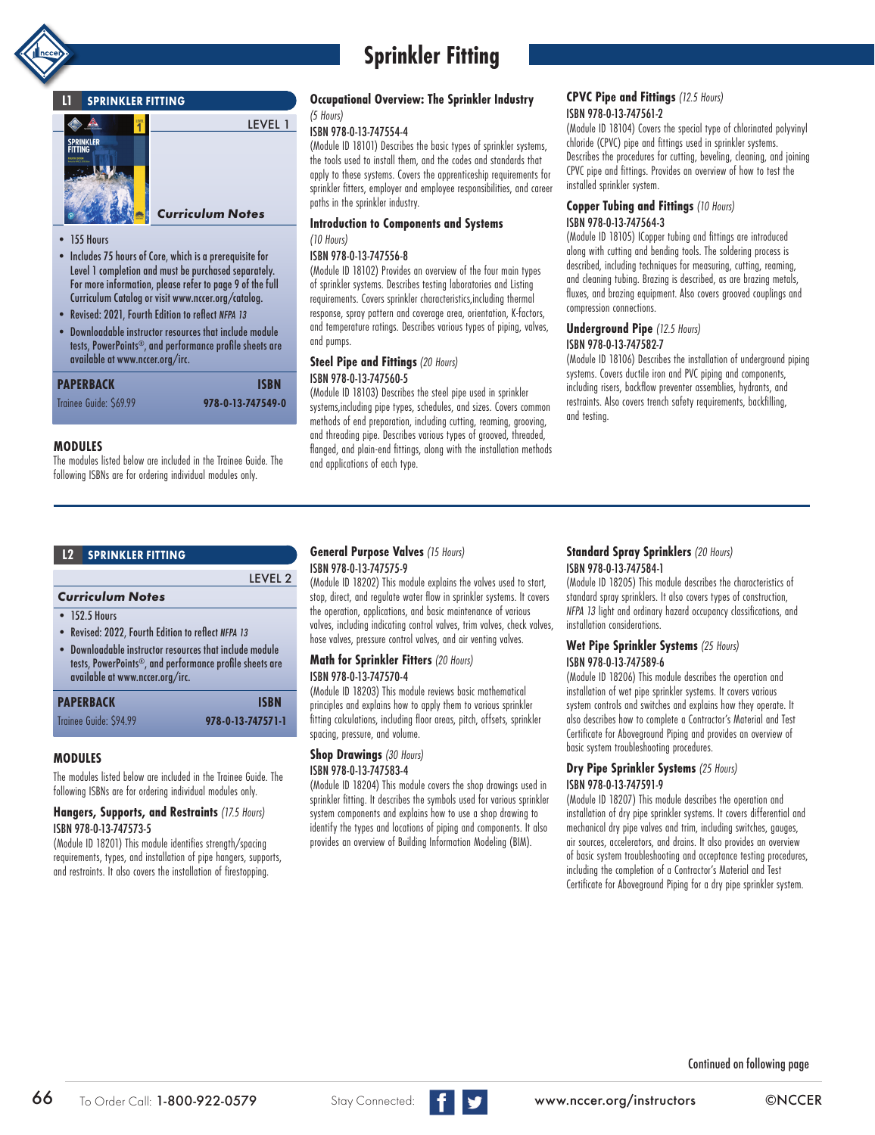# **Sprinkler Fitting**

### **L1 SPRINKLER FITTING**



- 155 Hours
- Includes 75 hours of Core, which is a prerequisite for Level 1 completion and must be purchased separately. For more information, please refer to page 9 of the full Curriculum Catalog or visit www.nccer.org/catalog.
- • Revised: 2021, Fourth Edition to reflect *NFPA 13*
- Downloadable instructor resources that include module tests, PowerPoints®, and performance profile sheets are available at www.nccer.org/irc.

| <b>PAPERBACK</b>       | <b>ISBN</b>       |
|------------------------|-------------------|
| Trainee Guide: \$69.99 | 978-0-13-747549-0 |

#### **MODULES**

The modules listed below are included in the Trainee Guide. The following ISBNs are for ordering individual modules only.

# **Occupational Overview: The Sprinkler Industry**

#### *(5 Hours)* ISBN 978-0-13-747554-4

(Module ID 18101) Describes the basic types of sprinkler systems, the tools used to install them, and the codes and standards that apply to these systems. Covers the apprenticeship requirements for sprinkler fitters, employer and employee responsibilities, and career paths in the sprinkler industry.

# **Introduction to Components and Systems**  *(10 Hours)*

# ISBN 978-0-13-747556-8

(Module ID 18102) Provides an overview of the four main types of sprinkler systems. Describes testing laboratories and Listing requirements. Covers sprinkler characteristics,including thermal response, spray pattern and coverage area, orientation, K-factors, and temperature ratings. Describes various types of piping, valves, and pumps.

# **Steel Pipe and Fittings** *(20 Hours)* ISBN 978-0-13-747560-5

(Module ID 18103) Describes the steel pipe used in sprinkler systems,including pipe types, schedules, and sizes. Covers common methods of end preparation, including cutting, reaming, grooving, and threading pipe. Describes various types of grooved, threaded, flanged, and plain-end fittings, along with the installation methods and applications of each type.

#### **CPVC Pipe and Fittings** *(12.5 Hours)* ISBN 978-0-13-747561-2

(Module ID 18104) Covers the special type of chlorinated polyvinyl chloride (CPVC) pipe and fittings used in sprinkler systems. Describes the procedures for cutting, beveling, cleaning, and joining CPVC pipe and fittings. Provides an overview of how to test the installed sprinkler system.

#### **Copper Tubing and Fittings** *(10 Hours)* ISBN 978-0-13-747564-3

(Module ID 18105) ICopper tubing and fittings are introduced along with cutting and bending tools. The soldering process is described, including techniques for measuring, cutting, reaming, and cleaning tubing. Brazing is described, as are brazing metals, fluxes, and brazing equipment. Also covers grooved couplings and compression connections.

# **Underground Pipe** *(12.5 Hours)*

#### ISBN 978-0-13-747582-7

(Module ID 18106) Describes the installation of underground piping systems. Covers ductile iron and PVC piping and components, including risers, backflow preventer assemblies, hydrants, and restraints. Also covers trench safety requirements, backfilling, and testing.

| 12 | <b>SPRINKLER FITTING</b>                                                                   |
|----|--------------------------------------------------------------------------------------------|
|    | LEVEL 2                                                                                    |
|    | <b>Curriculum Notes</b>                                                                    |
|    | • 152.5 Hours                                                                              |
|    | • Revised: 2022, Fourth Edition to reflect NFPA 13                                         |
|    | • Downloadable instructor resources that include module                                    |
|    | tests, PowerPoints®, and performance profile sheets are<br>available at www.nccer.org/irc. |

| <b>PAPERBACK</b>       | <b>ISBN</b>       |
|------------------------|-------------------|
| Trainee Guide: \$94.99 | 978-0-13-747571-1 |

## **MODULES**

The modules listed below are included in the Trainee Guide. The following ISBNs are for ordering individual modules only.

#### **Hangers, Supports, and Restraints** *(17.5 Hours)* ISBN 978-0-13-747573-5

(Module ID 18201) This module identifies strength/spacing requirements, types, and installation of pipe hangers, supports, and restraints. It also covers the installation of firestopping.

#### **General Purpose Valves** *(15 Hours)* N 978-0-13-747575-9

odule ID 18202) This module explains the valves used to start, p, direct, and regulate water flow in sprinkler systems. It covers operation, applications, and basic maintenance of various ves, including indicating control valves, trim valves, check valves, e valves, pressure control valves, and air venting valves.

# **Math for Sprinkler Fitters** *(20 Hours)*

#### N 978-0-13-747570-4

(Module ID 18203) This module reviews basic mathematical principles and explains how to apply them to various sprinkler fitting calculations, including floor areas, pitch, offsets, sprinkler spacing, pressure, and volume.

#### **Shop Drawings** *(30 Hours)* ISBN 978-0-13-747583-4

(Module ID 18204) This module covers the shop drawings used in sprinkler fitting. It describes the symbols used for various sprinkler system components and explains how to use a shop drawing to identify the types and locations of piping and components. It also provides an overview of Building Information Modeling (BIM).

#### **Standard Spray Sprinklers** *(20 Hours)* ISBN 978-0-13-747584-1

(Module ID 18205) This module describes the characteristics of standard spray sprinklers. It also covers types of construction, *NFPA 13* light and ordinary hazard occupancy classifications, and installation considerations.

#### **Wet Pipe Sprinkler Systems** *(25 Hours)* ISBN 978-0-13-747589-6

(Module ID 18206) This module describes the operation and installation of wet pipe sprinkler systems. It covers various system controls and switches and explains how they operate. It also describes how to complete a Contractor's Material and Test Certificate for Aboveground Piping and provides an overview of basic system troubleshooting procedures.

### **Dry Pipe Sprinkler Systems** *(25 Hours)* ISBN 978-0-13-747591-9

(Module ID 18207) This module describes the operation and installation of dry pipe sprinkler systems. It covers differential and mechanical dry pipe valves and trim, including switches, gauges, air sources, accelerators, and drains. It also provides an overview of basic system troubleshooting and acceptance testing procedures, including the completion of a Contractor's Material and Test Certificate for Aboveground Piping for a dry pipe sprinkler system.

Continued on following page